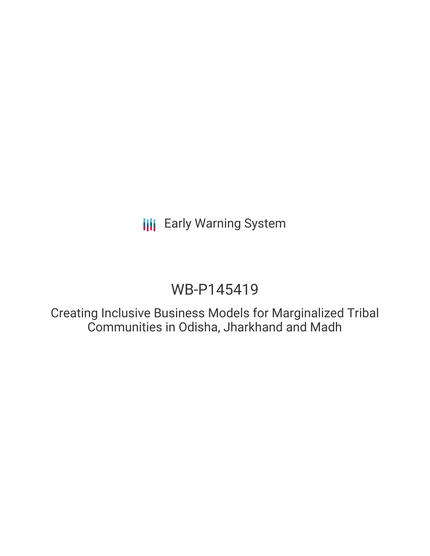# **III** Early Warning System

# WB-P145419

Creating Inclusive Business Models for Marginalized Tribal Communities in Odisha, Jharkhand and Madh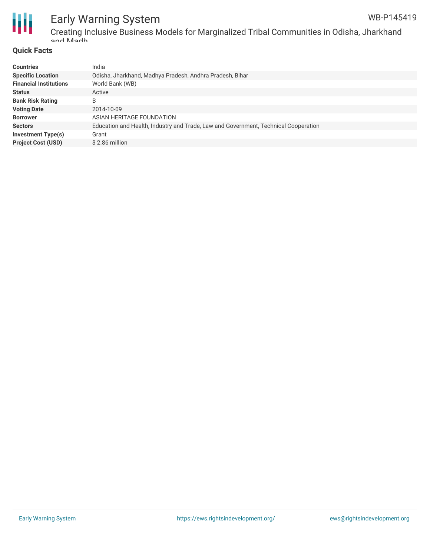

## Early Warning System

Creating Inclusive Business Models for Marginalized Tribal Communities in Odisha, Jharkhand and Madh

#### **Quick Facts**

| <b>Countries</b>              | India                                                                               |
|-------------------------------|-------------------------------------------------------------------------------------|
| <b>Specific Location</b>      | Odisha, Jharkhand, Madhya Pradesh, Andhra Pradesh, Bihar                            |
| <b>Financial Institutions</b> | World Bank (WB)                                                                     |
| <b>Status</b>                 | Active                                                                              |
| <b>Bank Risk Rating</b>       | B                                                                                   |
| <b>Voting Date</b>            | 2014-10-09                                                                          |
| <b>Borrower</b>               | ASIAN HERITAGE FOUNDATION                                                           |
| <b>Sectors</b>                | Education and Health, Industry and Trade, Law and Government, Technical Cooperation |
| <b>Investment Type(s)</b>     | Grant                                                                               |
| <b>Project Cost (USD)</b>     | \$2.86 million                                                                      |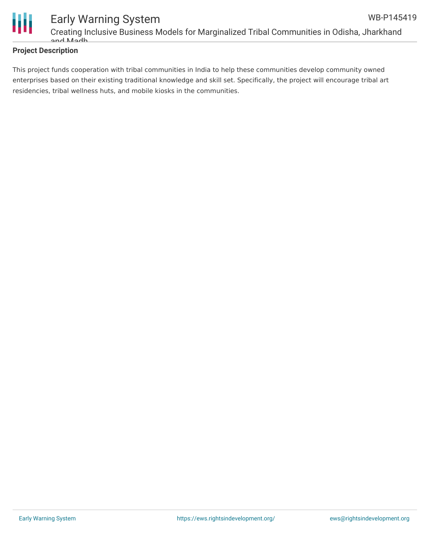

#### **Project Description**

This project funds cooperation with tribal communities in India to help these communities develop community owned enterprises based on their existing traditional knowledge and skill set. Specifically, the project will encourage tribal art residencies, tribal wellness huts, and mobile kiosks in the communities.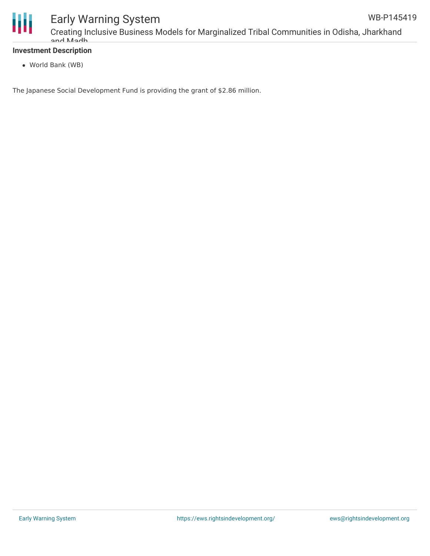

## Early Warning System

#### **Investment Description**

World Bank (WB)

The Japanese Social Development Fund is providing the grant of \$2.86 million.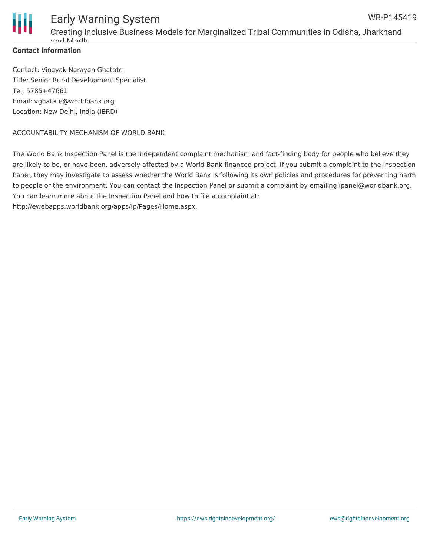

#### **Contact Information**

Contact: Vinayak Narayan Ghatate Title: Senior Rural Development Specialist Tel: 5785+47661 Email: vghatate@worldbank.org Location: New Delhi, India (IBRD)

#### ACCOUNTABILITY MECHANISM OF WORLD BANK

The World Bank Inspection Panel is the independent complaint mechanism and fact-finding body for people who believe they are likely to be, or have been, adversely affected by a World Bank-financed project. If you submit a complaint to the Inspection Panel, they may investigate to assess whether the World Bank is following its own policies and procedures for preventing harm to people or the environment. You can contact the Inspection Panel or submit a complaint by emailing ipanel@worldbank.org. You can learn more about the Inspection Panel and how to file a complaint at: http://ewebapps.worldbank.org/apps/ip/Pages/Home.aspx.